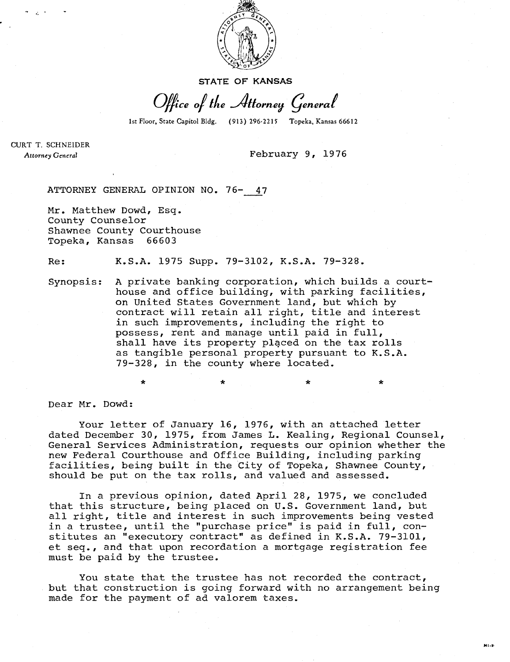

STATE OF KANSAS

Office of the Attorney General

1st Floor, State Capitol Bldg. (913) 296-2215 Topeka, Kansas 66612

CURT T. SCHNEIDER Attorney General

February 9, 1976

ATTORNEY GENERAL OPINION NO. 76- 47

Mr. Matthew Dowd, Esq. County Counselor Shawnee County Courthouse Topeka, Kansas 66603

Re: K.S.A. 1975 Supp. 79-3102, K.S.A. 79-328.

Synopsis: A private banking corporation, which builds a courthouse and office building, with parking facilities, on United States Government land, but which by contract will retain all right, title and interest in such improvements, including the right to possess, rent and manage until paid in full, shall have its property placed on the tax rolls as tangible personal property pursuant to K.S.A. 79-328, in the county where located.

Dear Mr. Dowd:

Your letter of January 16, 1976, with an attached letter dated December 30, 1975, from James L. Kealing, Regional Counsel, General Services Administration, requests our opinion whether the new Federal Courthouse and Office Building, including parking facilities, being built in the City of Topeka, Shawnee County, should be put on the tax rolls, and valued and assessed.

In a previous opinion, dated April 28, 1975, we concluded that this structure, being placed on U.S. Government land, but all right, title and interest in such improvements being vested in a trustee, until the "purchase price" is paid in full, constitutes an "executory contract" as defined in K.S.A. 79-3101, et seq., and that upon recordation a mortgage registration fee must be paid by the trustee.

You state that the trustee has not recorded the contract, but that construction is going forward with no arrangement being made for the payment of ad valorem taxes.